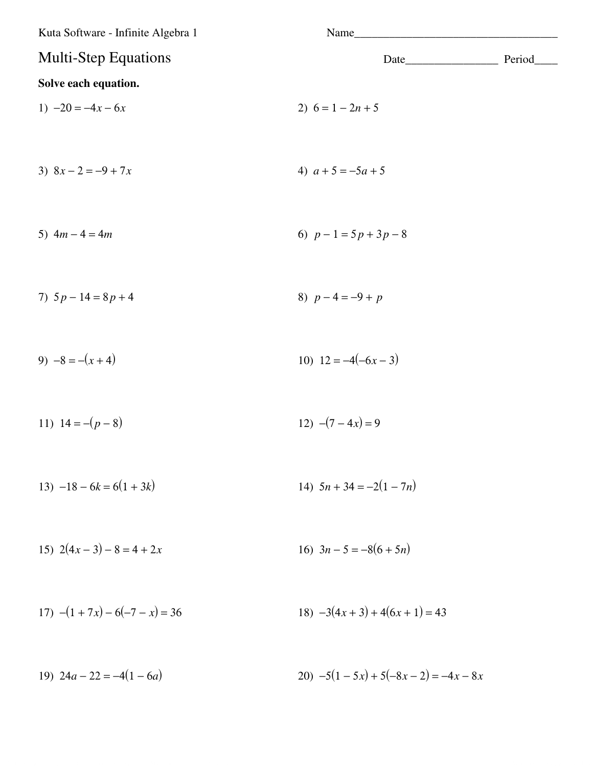| Kuta Software - Infinite Algebra 1 | Name                          |         |
|------------------------------------|-------------------------------|---------|
| <b>Multi-Step Equations</b>        |                               | Period_ |
| Solve each equation.               |                               |         |
| 1) $-20 = -4x - 6x$                | 2) $6 = 1 - 2n + 5$           |         |
| 3) $8x - 2 = -9 + 7x$              | 4) $a+5=-5a+5$                |         |
| 5) $4m - 4 = 4m$                   | 6) $p-1=5p+3p-8$              |         |
| 7) $5p - 14 = 8p + 4$              | 8) $p-4=-9+p$                 |         |
| 9) $-8 = -(x+4)$                   | 10) $12 = -4(-6x - 3)$        |         |
| 11) $14 = -(p-8)$                  | 12) $-(7-4x) = 9$             |         |
| 13) $-18 - 6k = 6(1 + 3k)$         | 14) $5n + 34 = -2(1 - 7n)$    |         |
| 15) $2(4x-3)-8=4+2x$               | 16) $3n - 5 = -8(6 + 5n)$     |         |
| 17) $-(1+7x) - 6(-7 - x) = 36$     | $18) -3(4x+3) + 4(6x+1) = 43$ |         |

19)  $24a - 22 = -4(1 - 6a)$ 20)  $-5(1-5x) + 5(-8x - 2) = -4x - 8x$